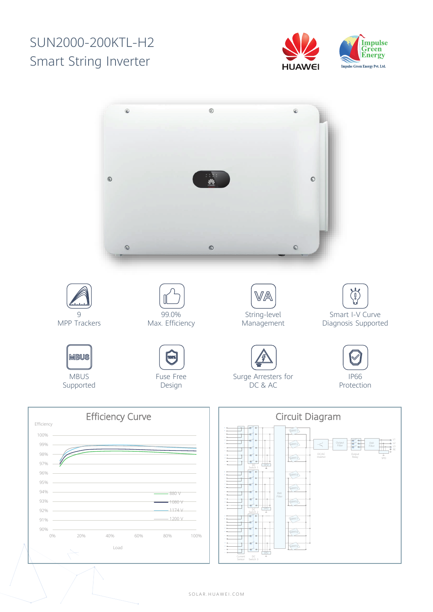## SUN2000-200KTL-H2 Smart String Inverter